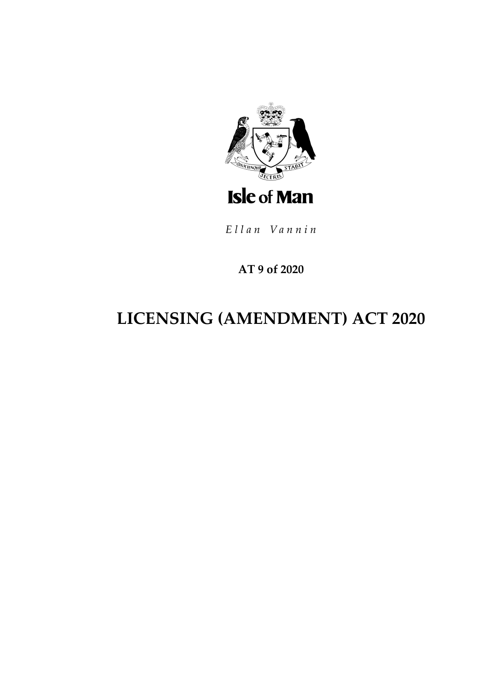

Ellan Vannin

# AT 9 of 2020

# **LICENSING (AMENDMENT) ACT 2020**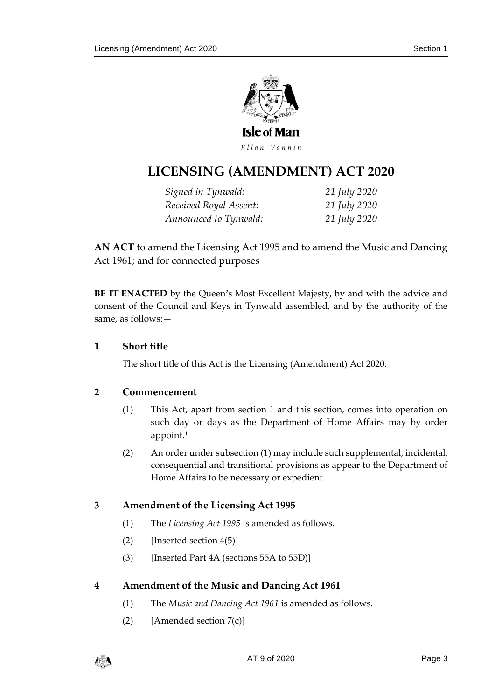

Ellan Vannin

# **LICENSING (AMENDMENT ) ACT 2020**

*Signed in Tynwald: 21 July 2020 Received Royal Assent: 21 July 2020 Announced to Tynwald: 21 July 2020*

**AN ACT** to amend the Licensing Act 1995 and to amend the Music and Dancing Act 1961; and for connected purposes

**BE IT ENACTED** by the Queen's Most Excellent Majesty, by and with the advice and consent of the Council and Keys in Tynwald assembled, and by the authority of the same, as follows:—

#### **1 Short title**

The short title of this Act is the Licensing (Amendment) Act 2020.

#### **2 Commencement**

- (1) This Act, apart from section 1 and this section, comes into operation on such day or days as the Department of Home Affairs may by order appoint.**<sup>1</sup>**
- (2) An order under subsection (1) may include such supplemental, incidental, consequential and transitional provisions as appear to the Department of Home Affairs to be necessary or expedient.

#### **3 Amendment of the Licensing Act 1995**

- (1) The *Licensing Act 1995* is amended as follows.
- $(2)$  [Inserted section 4(5)]
- (3) [Inserted Part 4A (sections 55A to 55D)]

#### **4 Amendment of the Music and Dancing Act 1961**

- (1) The *Music and Dancing Act 1961* is amended as follows.
- (2) [Amended section 7(c)]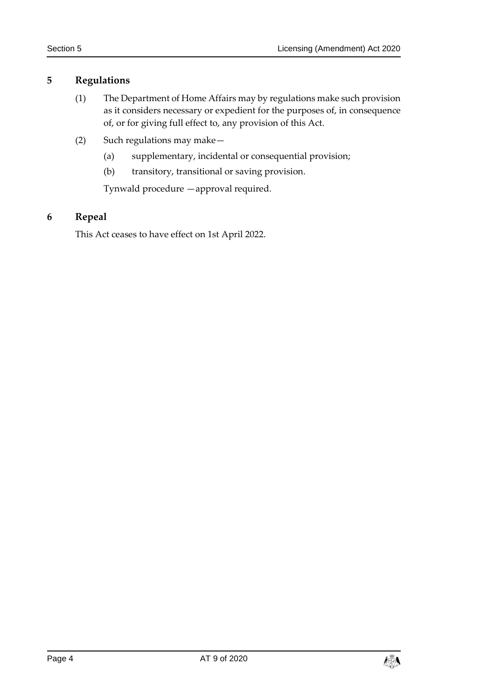#### **5 Regulations**

- (1) The Department of Home Affairs may by regulations make such provision as it considers necessary or expedient for the purposes of, in consequence of, or for giving full effect to, any provision of this Act.
- (2) Such regulations may make—
	- (a) supplementary, incidental or consequential provision;
	- (b) transitory, transitional or saving provision.

Tynwald procedure —approval required.

## **6 Repeal**

This Act ceases to have effect on 1st April 2022.